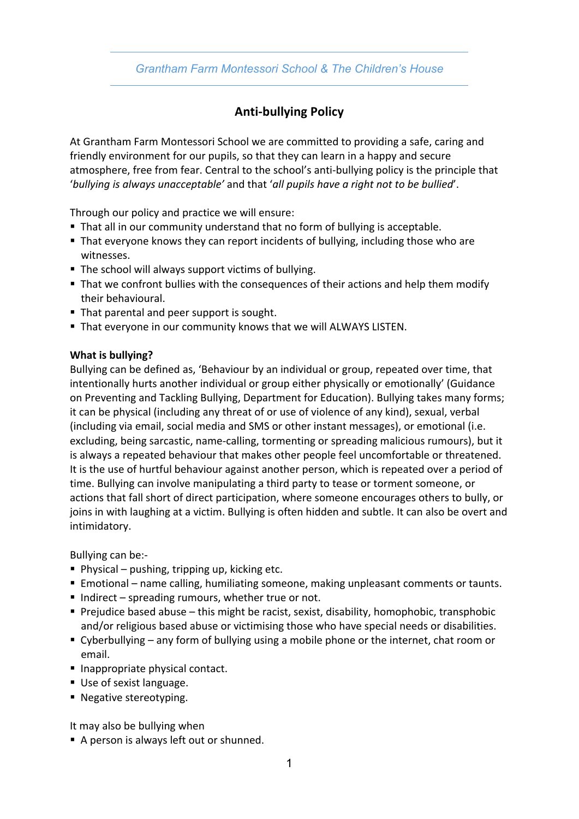# **Anti-bullying Policy**

At Grantham Farm Montessori School we are committed to providing a safe, caring and friendly environment for our pupils, so that they can learn in a happy and secure atmosphere, free from fear. Central to the school's anti-bullying policy is the principle that '*bullying is always unacceptable'* and that '*all pupils have a right not to be bullied*'.

Through our policy and practice we will ensure:

- § That all in our community understand that no form of bullying is acceptable.
- That everyone knows they can report incidents of bullying, including those who are witnesses.
- The school will always support victims of bullying.
- § That we confront bullies with the consequences of their actions and help them modify their behavioural.
- That parental and peer support is sought.
- That everyone in our community knows that we will ALWAYS LISTEN.

#### **What is bullying?**

Bullying can be defined as, 'Behaviour by an individual or group, repeated over time, that intentionally hurts another individual or group either physically or emotionally' (Guidance on Preventing and Tackling Bullying, Department for Education). Bullying takes many forms; it can be physical (including any threat of or use of violence of any kind), sexual, verbal (including via email, social media and SMS or other instant messages), or emotional (i.e. excluding, being sarcastic, name-calling, tormenting or spreading malicious rumours), but it is always a repeated behaviour that makes other people feel uncomfortable or threatened. It is the use of hurtful behaviour against another person, which is repeated over a period of time. Bullying can involve manipulating a third party to tease or torment someone, or actions that fall short of direct participation, where someone encourages others to bully, or joins in with laughing at a victim. Bullying is often hidden and subtle. It can also be overt and intimidatory.

Bullying can be:-

- Physical pushing, tripping up, kicking etc.
- Emotional name calling, humiliating someone, making unpleasant comments or taunts.
- Indirect spreading rumours, whether true or not.
- **Prejudice based abuse this might be racist, sexist, disability, homophobic, transphobic** and/or religious based abuse or victimising those who have special needs or disabilities.
- Cyberbullying any form of bullying using a mobile phone or the internet, chat room or email.
- Inappropriate physical contact.
- Use of sexist language.
- Negative stereotyping.

It may also be bullying when

■ A person is always left out or shunned.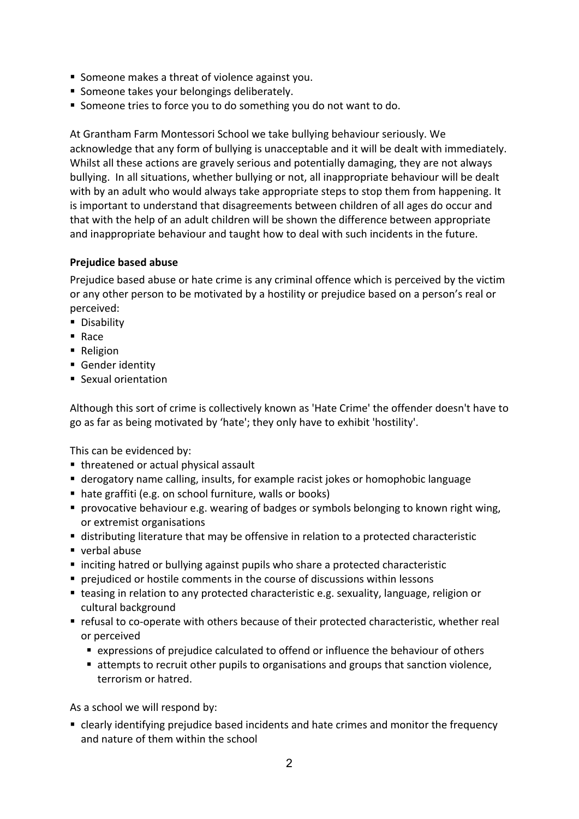- Someone makes a threat of violence against you.
- Someone takes your belongings deliberately.
- Someone tries to force you to do something you do not want to do.

At Grantham Farm Montessori School we take bullying behaviour seriously. We acknowledge that any form of bullying is unacceptable and it will be dealt with immediately. Whilst all these actions are gravely serious and potentially damaging, they are not always bullying. In all situations, whether bullying or not, all inappropriate behaviour will be dealt with by an adult who would always take appropriate steps to stop them from happening. It is important to understand that disagreements between children of all ages do occur and that with the help of an adult children will be shown the difference between appropriate and inappropriate behaviour and taught how to deal with such incidents in the future.

## **Prejudice based abuse**

Prejudice based abuse or hate crime is any criminal offence which is perceived by the victim or any other person to be motivated by a hostility or prejudice based on a person's real or perceived:

- Disability
- § Race
- Religion
- Gender identity
- Sexual orientation

Although this sort of crime is collectively known as 'Hate Crime' the offender doesn't have to go as far as being motivated by 'hate'; they only have to exhibit 'hostility'.

This can be evidenced by:

- threatened or actual physical assault
- derogatory name calling, insults, for example racist jokes or homophobic language
- hate graffiti (e.g. on school furniture, walls or books)
- provocative behaviour e.g. wearing of badges or symbols belonging to known right wing, or extremist organisations
- distributing literature that may be offensive in relation to a protected characteristic
- verbal abuse
- inciting hatred or bullying against pupils who share a protected characteristic
- § prejudiced or hostile comments in the course of discussions within lessons
- teasing in relation to any protected characteristic e.g. sexuality, language, religion or cultural background
- refusal to co-operate with others because of their protected characteristic, whether real or perceived
	- expressions of prejudice calculated to offend or influence the behaviour of others
	- attempts to recruit other pupils to organisations and groups that sanction violence, terrorism or hatred.

As a school we will respond by:

■ clearly identifying prejudice based incidents and hate crimes and monitor the frequency and nature of them within the school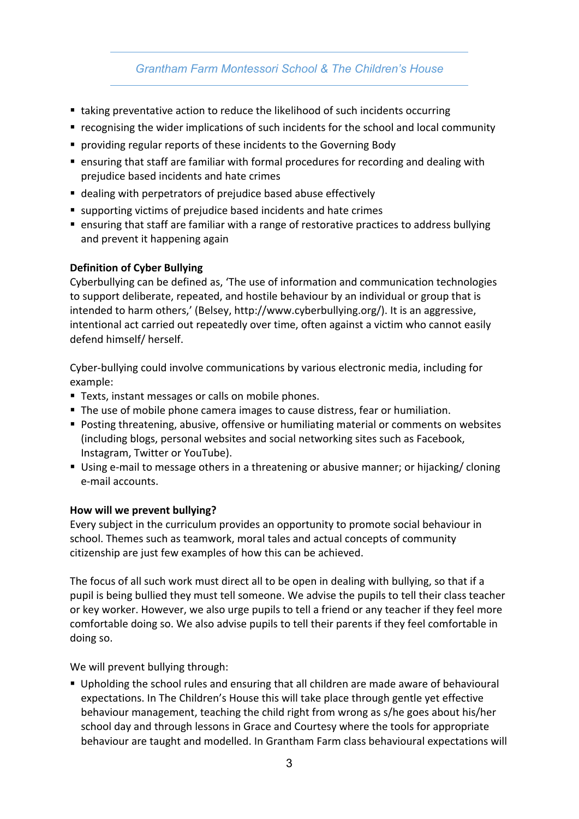- taking preventative action to reduce the likelihood of such incidents occurring
- § recognising the wider implications of such incidents for the school and local community
- providing regular reports of these incidents to the Governing Body
- ensuring that staff are familiar with formal procedures for recording and dealing with prejudice based incidents and hate crimes
- dealing with perpetrators of prejudice based abuse effectively
- supporting victims of prejudice based incidents and hate crimes
- ensuring that staff are familiar with a range of restorative practices to address bullying and prevent it happening again

## **Definition of Cyber Bullying**

Cyberbullying can be defined as, 'The use of information and communication technologies to support deliberate, repeated, and hostile behaviour by an individual or group that is intended to harm others,' (Belsey, http://www.cyberbullying.org/). It is an aggressive, intentional act carried out repeatedly over time, often against a victim who cannot easily defend himself/ herself.

Cyber-bullying could involve communications by various electronic media, including for example:

- Texts, instant messages or calls on mobile phones.
- § The use of mobile phone camera images to cause distress, fear or humiliation.
- Posting threatening, abusive, offensive or humiliating material or comments on websites (including blogs, personal websites and social networking sites such as Facebook, Instagram, Twitter or YouTube).
- Using e-mail to message others in a threatening or abusive manner; or hijacking/ cloning e-mail accounts.

## **How will we prevent bullying?**

Every subject in the curriculum provides an opportunity to promote social behaviour in school. Themes such as teamwork, moral tales and actual concepts of community citizenship are just few examples of how this can be achieved.

The focus of all such work must direct all to be open in dealing with bullying, so that if a pupil is being bullied they must tell someone. We advise the pupils to tell their class teacher or key worker. However, we also urge pupils to tell a friend or any teacher if they feel more comfortable doing so. We also advise pupils to tell their parents if they feel comfortable in doing so.

We will prevent bullying through:

■ Upholding the school rules and ensuring that all children are made aware of behavioural expectations. In The Children's House this will take place through gentle yet effective behaviour management, teaching the child right from wrong as s/he goes about his/her school day and through lessons in Grace and Courtesy where the tools for appropriate behaviour are taught and modelled. In Grantham Farm class behavioural expectations will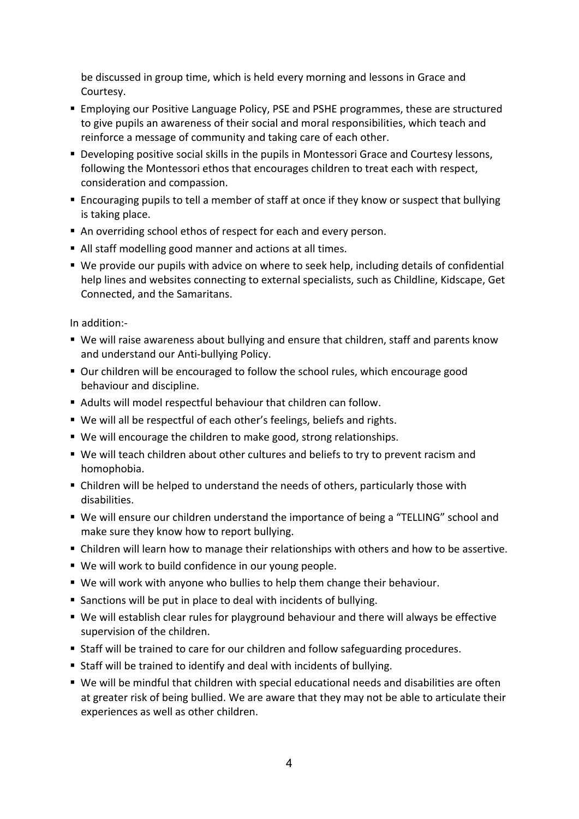be discussed in group time, which is held every morning and lessons in Grace and Courtesy.

- **Employing our Positive Language Policy, PSE and PSHE programmes, these are structured** to give pupils an awareness of their social and moral responsibilities, which teach and reinforce a message of community and taking care of each other.
- § Developing positive social skills in the pupils in Montessori Grace and Courtesy lessons, following the Montessori ethos that encourages children to treat each with respect, consideration and compassion.
- Encouraging pupils to tell a member of staff at once if they know or suspect that bullying is taking place.
- An overriding school ethos of respect for each and every person.
- All staff modelling good manner and actions at all times.
- We provide our pupils with advice on where to seek help, including details of confidential help lines and websites connecting to external specialists, such as Childline, Kidscape, Get Connected, and the Samaritans.

In addition:-

- We will raise awareness about bullying and ensure that children, staff and parents know and understand our Anti-bullying Policy.
- Our children will be encouraged to follow the school rules, which encourage good behaviour and discipline.
- Adults will model respectful behaviour that children can follow.
- We will all be respectful of each other's feelings, beliefs and rights.
- We will encourage the children to make good, strong relationships.
- We will teach children about other cultures and beliefs to try to prevent racism and homophobia.
- Children will be helped to understand the needs of others, particularly those with disabilities.
- § We will ensure our children understand the importance of being a "TELLING" school and make sure they know how to report bullying.
- Children will learn how to manage their relationships with others and how to be assertive.
- We will work to build confidence in our young people.
- § We will work with anyone who bullies to help them change their behaviour.
- Sanctions will be put in place to deal with incidents of bullying.
- We will establish clear rules for playground behaviour and there will always be effective supervision of the children.
- Staff will be trained to care for our children and follow safeguarding procedures.
- Staff will be trained to identify and deal with incidents of bullying.
- We will be mindful that children with special educational needs and disabilities are often at greater risk of being bullied. We are aware that they may not be able to articulate their experiences as well as other children.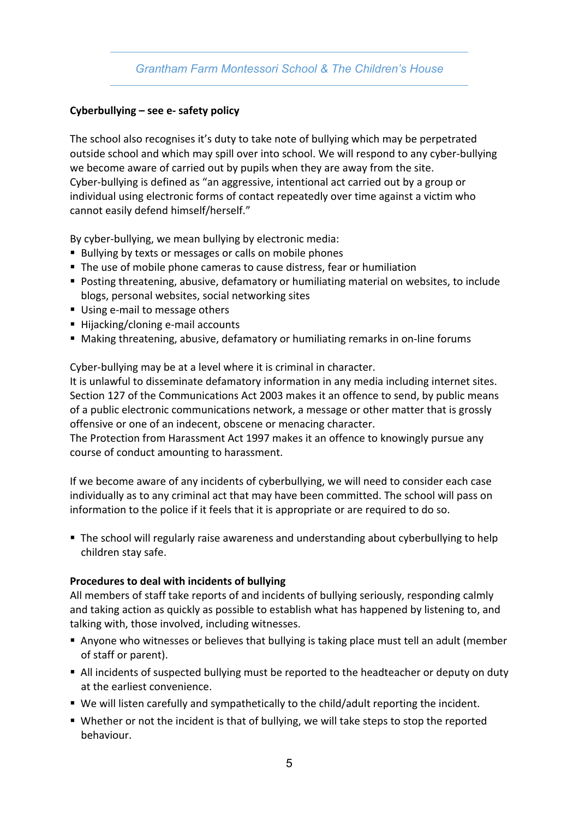#### **Cyberbullying – see e- safety policy**

The school also recognises it's duty to take note of bullying which may be perpetrated outside school and which may spill over into school. We will respond to any cyber-bullying we become aware of carried out by pupils when they are away from the site. Cyber-bullying is defined as "an aggressive, intentional act carried out by a group or individual using electronic forms of contact repeatedly over time against a victim who cannot easily defend himself/herself."

By cyber-bullying, we mean bullying by electronic media:

- Bullying by texts or messages or calls on mobile phones
- The use of mobile phone cameras to cause distress, fear or humiliation
- Posting threatening, abusive, defamatory or humiliating material on websites, to include blogs, personal websites, social networking sites
- Using e-mail to message others
- Hijacking/cloning e-mail accounts
- Making threatening, abusive, defamatory or humiliating remarks in on-line forums

Cyber-bullying may be at a level where it is criminal in character.

It is unlawful to disseminate defamatory information in any media including internet sites. Section 127 of the Communications Act 2003 makes it an offence to send, by public means of a public electronic communications network, a message or other matter that is grossly offensive or one of an indecent, obscene or menacing character.

The Protection from Harassment Act 1997 makes it an offence to knowingly pursue any course of conduct amounting to harassment.

If we become aware of any incidents of cyberbullying, we will need to consider each case individually as to any criminal act that may have been committed. The school will pass on information to the police if it feels that it is appropriate or are required to do so.

■ The school will regularly raise awareness and understanding about cyberbullying to help children stay safe.

#### **Procedures to deal with incidents of bullying**

All members of staff take reports of and incidents of bullying seriously, responding calmly and taking action as quickly as possible to establish what has happened by listening to, and talking with, those involved, including witnesses.

- Anyone who witnesses or believes that bullying is taking place must tell an adult (member of staff or parent).
- All incidents of suspected bullying must be reported to the headteacher or deputy on duty at the earliest convenience.
- We will listen carefully and sympathetically to the child/adult reporting the incident.
- Whether or not the incident is that of bullying, we will take steps to stop the reported behaviour.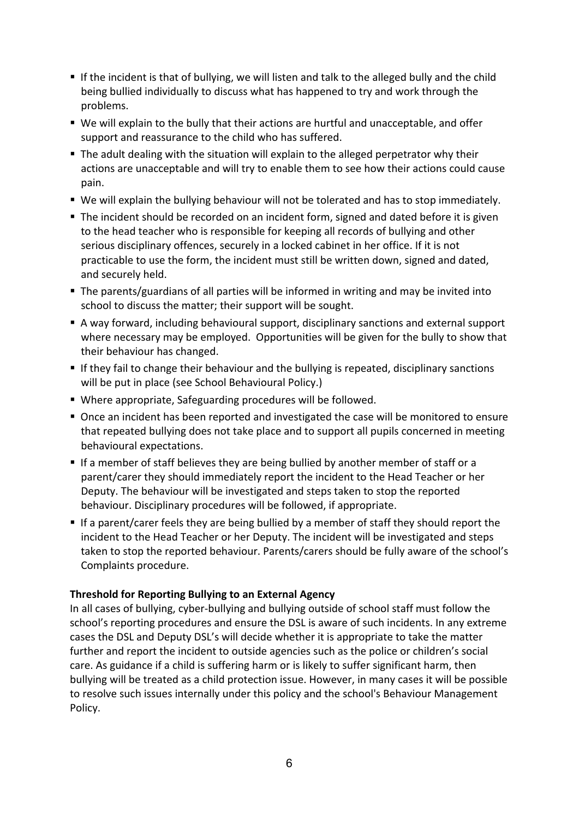- If the incident is that of bullying, we will listen and talk to the alleged bully and the child being bullied individually to discuss what has happened to try and work through the problems.
- We will explain to the bully that their actions are hurtful and unacceptable, and offer support and reassurance to the child who has suffered.
- § The adult dealing with the situation will explain to the alleged perpetrator why their actions are unacceptable and will try to enable them to see how their actions could cause pain.
- We will explain the bullying behaviour will not be tolerated and has to stop immediately.
- The incident should be recorded on an incident form, signed and dated before it is given to the head teacher who is responsible for keeping all records of bullying and other serious disciplinary offences, securely in a locked cabinet in her office. If it is not practicable to use the form, the incident must still be written down, signed and dated, and securely held.
- The parents/guardians of all parties will be informed in writing and may be invited into school to discuss the matter; their support will be sought.
- § A way forward, including behavioural support, disciplinary sanctions and external support where necessary may be employed. Opportunities will be given for the bully to show that their behaviour has changed.
- If they fail to change their behaviour and the bullying is repeated, disciplinary sanctions will be put in place (see School Behavioural Policy.)
- Where appropriate, Safeguarding procedures will be followed.
- Once an incident has been reported and investigated the case will be monitored to ensure that repeated bullying does not take place and to support all pupils concerned in meeting behavioural expectations.
- If a member of staff believes they are being bullied by another member of staff or a parent/carer they should immediately report the incident to the Head Teacher or her Deputy. The behaviour will be investigated and steps taken to stop the reported behaviour. Disciplinary procedures will be followed, if appropriate.
- If a parent/carer feels they are being bullied by a member of staff they should report the incident to the Head Teacher or her Deputy. The incident will be investigated and steps taken to stop the reported behaviour. Parents/carers should be fully aware of the school's Complaints procedure.

## **Threshold for Reporting Bullying to an External Agency**

In all cases of bullying, cyber-bullying and bullying outside of school staff must follow the school's reporting procedures and ensure the DSL is aware of such incidents. In any extreme cases the DSL and Deputy DSL's will decide whether it is appropriate to take the matter further and report the incident to outside agencies such as the police or children's social care. As guidance if a child is suffering harm or is likely to suffer significant harm, then bullying will be treated as a child protection issue. However, in many cases it will be possible to resolve such issues internally under this policy and the school's Behaviour Management Policy.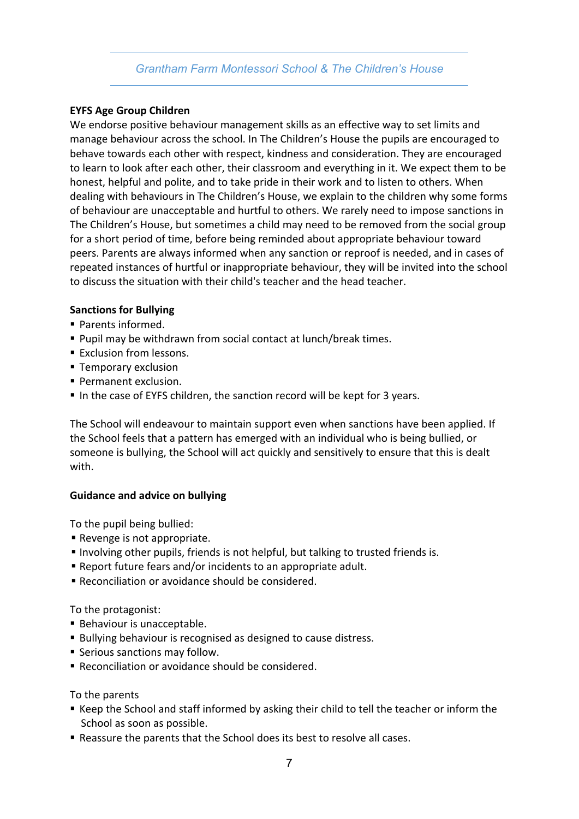#### **EYFS Age Group Children**

We endorse positive behaviour management skills as an effective way to set limits and manage behaviour across the school. In The Children's House the pupils are encouraged to behave towards each other with respect, kindness and consideration. They are encouraged to learn to look after each other, their classroom and everything in it. We expect them to be honest, helpful and polite, and to take pride in their work and to listen to others. When dealing with behaviours in The Children's House, we explain to the children why some forms of behaviour are unacceptable and hurtful to others. We rarely need to impose sanctions in The Children's House, but sometimes a child may need to be removed from the social group for a short period of time, before being reminded about appropriate behaviour toward peers. Parents are always informed when any sanction or reproof is needed, and in cases of repeated instances of hurtful or inappropriate behaviour, they will be invited into the school to discuss the situation with their child's teacher and the head teacher.

#### **Sanctions for Bullying**

- Parents informed.
- Pupil may be withdrawn from social contact at lunch/break times.
- Exclusion from lessons.
- Temporary exclusion
- Permanent exclusion.
- In the case of EYFS children, the sanction record will be kept for 3 years.

The School will endeavour to maintain support even when sanctions have been applied. If the School feels that a pattern has emerged with an individual who is being bullied, or someone is bullying, the School will act quickly and sensitively to ensure that this is dealt with.

#### **Guidance and advice on bullying**

To the pupil being bullied:

- Revenge is not appropriate.
- § Involving other pupils, friends is not helpful, but talking to trusted friends is.
- Report future fears and/or incidents to an appropriate adult.
- Reconciliation or avoidance should be considered.

To the protagonist:

- Behaviour is unacceptable.
- Bullying behaviour is recognised as designed to cause distress.
- Serious sanctions may follow.
- Reconciliation or avoidance should be considered.

#### To the parents

- Keep the School and staff informed by asking their child to tell the teacher or inform the School as soon as possible.
- Reassure the parents that the School does its best to resolve all cases.